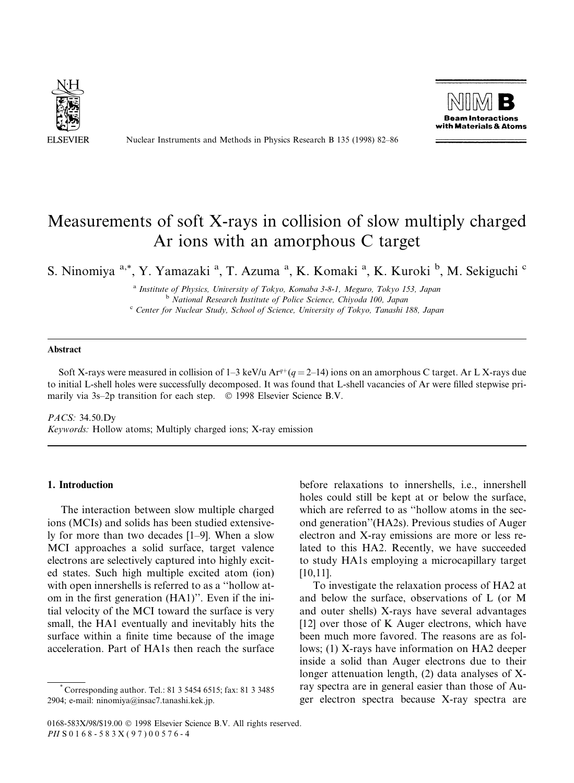

Nuclear Instruments and Methods in Physics Research B 135 (1998) 82-86



# Measurements of soft X-rays in collision of slow multiply charged Ar ions with an amorphous C target

S. Ninomiya <sup>a,\*</sup>, Y. Yamazaki <sup>a</sup>, T. Azuma <sup>a</sup>, K. Komaki <sup>a</sup>, K. Kuroki <sup>b</sup>, M. Sekiguchi <sup>c</sup>

<sup>a</sup> Institute of Physics, University of Tokyo, Komaba 3-8-1, Meguro, Tokyo 153, Japan <sup>b</sup> National Research Institute of Police Science, Chiyoda 100, Japan <sup>c</sup> Center for Nuclear Study, School of Science, University of Tokyo, Tanashi 188, Japan

# Abstract

Soft X-rays were measured in collision of  $1-3$  keV/u Ar<sup>q+</sup>( $q = 2-14$ ) ions on an amorphous C target. Ar L X-rays due to initial L-shell holes were successfully decomposed. It was found that L-shell vacancies of Ar were filled stepwise primarily via  $3s-2p$  transition for each step.  $\circ$  1998 Elsevier Science B.V.

PACS: 34.50.Dy Keywords: Hollow atoms; Multiply charged ions; X-ray emission

# 1. Introduction

The interaction between slow multiple charged ions (MCIs) and solids has been studied extensively for more than two decades  $[1-9]$ . When a slow MCI approaches a solid surface, target valence electrons are selectively captured into highly excited states. Such high multiple excited atom (ion) with open innershells is referred to as a "hollow atom in the first generation (HA1)". Even if the initial velocity of the MCI toward the surface is very small, the HA1 eventually and inevitably hits the surface within a finite time because of the image acceleration. Part of HA1s then reach the surface

before relaxations to innershells, i.e., innershell holes could still be kept at or below the surface, which are referred to as "hollow atoms in the second generation''(HA2s). Previous studies of Auger electron and X-ray emissions are more or less related to this HA2. Recently, we have succeeded to study HA1s employing a microcapillary target [10,11].

To investigate the relaxation process of HA2 at and below the surface, observations of L (or M and outer shells) X-rays have several advantages [12] over those of K Auger electrons, which have been much more favored. The reasons are as follows; (1) X-rays have information on HA2 deeper inside a solid than Auger electrons due to their longer attenuation length, (2) data analyses of Xray spectra are in general easier than those of Auger electron spectra because X-ray spectra are

<sup>\*</sup> Corresponding author. Tel.: 81 3 5454 6515; fax: 81 3 3485 2904; e-mail: ninomiya@insac7.tanashi.kek.jp.

<sup>0168-583</sup>X/98/\$19.00 © 1998 Elsevier Science B.V. All rights reserved. PII S 0 1 6 8 - 5 8 3 X ( 9 7 ) 0 0 5 7 6 - 4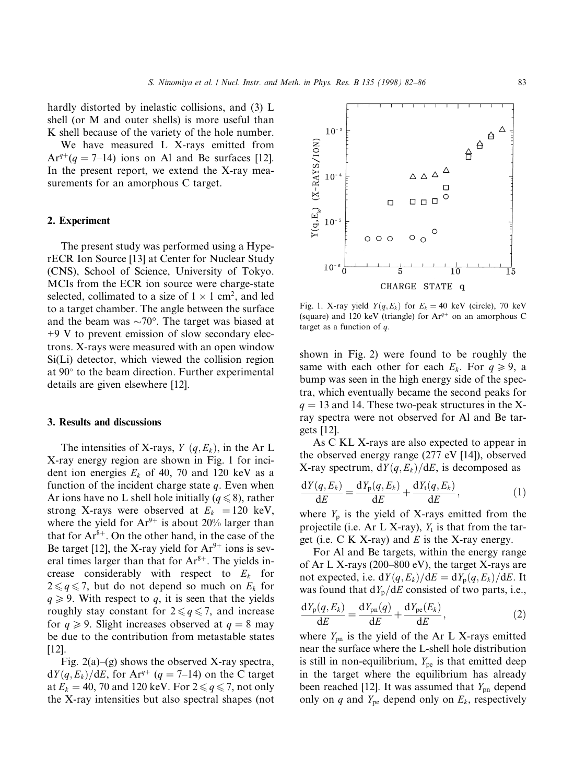hardly distorted by inelastic collisions, and (3) L shell (or M and outer shells) is more useful than K shell because of the variety of the hole number.

We have measured L X-rays emitted from  $Ar^{q+}(q = 7-14)$  ions on Al and Be surfaces [12]. In the present report, we extend the X-ray measurements for an amorphous C target.

## 2. Experiment

The present study was performed using a HyperECR Ion Source [13] at Center for Nuclear Study (CNS), School of Science, University of Tokyo. MCIs from the ECR ion source were charge-state selected, collimated to a size of  $1 \times 1$  cm<sup>2</sup>, and led to a target chamber. The angle between the surface and the beam was  $\sim 70^{\circ}$ . The target was biased at +9 V to prevent emission of slow secondary electrons. X-rays were measured with an open window Si(Li) detector, which viewed the collision region at  $90^\circ$  to the beam direction. Further experimental details are given elsewhere [12].

#### 3. Results and discussions

The intensities of X-rays,  $Y(q, E_k)$ , in the Ar L X-ray energy region are shown in Fig. 1 for incident ion energies  $E_k$  of 40, 70 and 120 keV as a function of the incident charge state  $q$ . Even when Ar ions have no L shell hole initially ( $q \le 8$ ), rather strong X-rays were observed at  $E_k = 120$  keV, where the yield for  $Ar^{9+}$  is about 20% larger than that for  $Ar^{8+}$ . On the other hand, in the case of the Be target [12], the X-ray yield for  $Ar^{9+}$  ions is several times larger than that for  $Ar^{8+}$ . The yields increase considerably with respect to  $E_k$  for  $2 \leq q \leq 7$ , but do not depend so much on  $E_k$  for  $q \geq 9$ . With respect to q, it is seen that the yields roughly stay constant for  $2 \leq g \leq 7$ , and increase for  $q \ge 9$ . Slight increases observed at  $q = 8$  may be due to the contribution from metastable states [12].

Fig. 2(a)–(g) shows the observed X-ray spectra,  $dY(q, E_k)/dE$ , for Ar<sup>q+</sup> (q = 7–14) on the C target at  $E_k = 40$ , 70 and 120 keV. For  $2 \le q \le 7$ , not only the X-ray intensities but also spectral shapes (not



shown in Fig. 2) were found to be roughly the same with each other for each  $E_k$ . For  $q \ge 9$ , a bump was seen in the high energy side of the spectra, which eventually became the second peaks for  $q = 13$  and 14. These two-peak structures in the Xray spectra were not observed for Al and Be targets [12].

As C KL X-rays are also expected to appear in the observed energy range (277 eV [14]), observed X-ray spectrum,  $dY(q, E_k)/dE$ , is decomposed as

$$
\frac{dY(q, E_k)}{dE} = \frac{dY_p(q, E_k)}{dE} + \frac{dY_t(q, E_k)}{dE},
$$
\n(1)

where  $Y_p$  is the yield of X-rays emitted from the projectile (i.e. Ar L X-ray),  $Y_t$  is that from the target (i.e.  $C K X-ray$ ) and  $E$  is the X-ray energy.

For Al and Be targets, within the energy range of Ar L X-rays (200–800 eV), the target X-rays are not expected, i.e.  $dY(q, E_k)/dE = dY_p(q, E_k)/dE$ . It was found that  $dY_p/dE$  consisted of two parts, i.e.,

$$
\frac{\mathrm{d}Y_{\mathrm{p}}(q,E_{k})}{\mathrm{d}E} = \frac{\mathrm{d}Y_{\mathrm{pn}}(q)}{\mathrm{d}E} + \frac{\mathrm{d}Y_{\mathrm{pe}}(E_{k})}{\mathrm{d}E},\tag{2}
$$

where  $Y_{\text{pn}}$  is the yield of the Ar L X-rays emitted near the surface where the L-shell hole distribution is still in non-equilibrium,  $Y_{pe}$  is that emitted deep in the target where the equilibrium has already been reached [12]. It was assumed that  $Y_{\text{pn}}$  depend only on q and  $Y_{pe}$  depend only on  $E_k$ , respectively

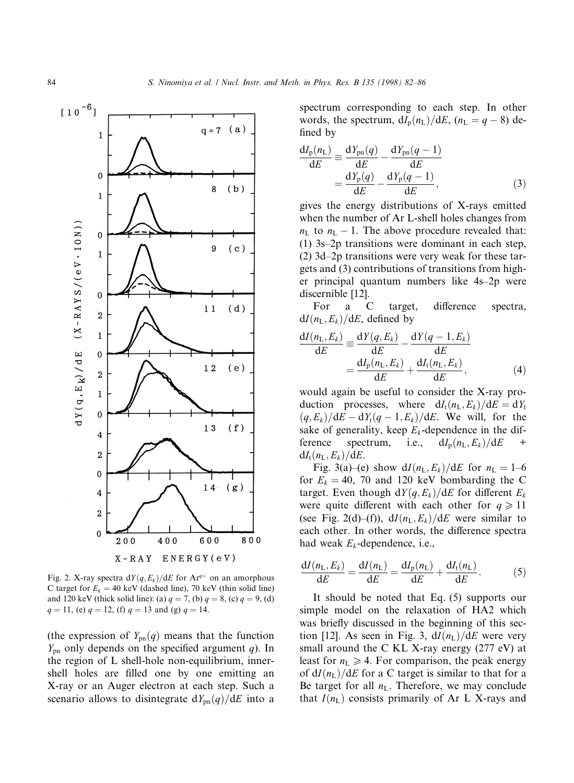

Fig. 2. X-ray spectra  $dY(q, E_k)/dE$  for Ar<sup>q+</sup> on an amorphous C target for  $E_k = 40 \text{ keV}$  (dashed line), 70 keV (thin solid line) and 120 keV (thick solid line): (a)  $q = 7$ , (b)  $q = 8$ , (c)  $q = 9$ , (d)  $q = 11$ , (e)  $q = 12$ , (f)  $q = 13$  and (g)  $q = 14$ .

(the expression of  $Y_{pn}(q)$  means that the function  $Y_{\text{pn}}$  only depends on the specified argument q). In the region of L shell-hole non-equilibrium, innershell holes are filled one by one emitting an X-ray or an Auger electron at each step. Such a scenario allows to disintegrate  $dY_{pn}(q)/dE$  into a spectrum corresponding to each step. In other words, the spectrum,  $dI_p(n_L)/dE$ ,  $(n_L = q - 8)$  defined by

$$
\frac{dI_{p}(n_{L})}{dE} \equiv \frac{dY_{pn}(q)}{dE} - \frac{dY_{pn}(q-1)}{dE}
$$

$$
= \frac{dY_{p}(q)}{dE} - \frac{dY_{p}(q-1)}{dE},
$$
(3)

gives the energy distributions of X-rays emitted when the number of Ar L-shell holes changes from  $n_{\rm L}$  to  $n_{\rm L} - 1$ . The above procedure revealed that: (1)  $3s-2p$  transitions were dominant in each step, (2)  $3d-2p$  transitions were very weak for these targets and (3) contributions of transitions from higher principal quantum numbers like 4s-2p were discernible [12].

For a C target, difference spectra,  $dI(n_L, E_k)/dE$ , defined by

$$
\frac{dI(n_L, E_k)}{dE} \equiv \frac{dY(q, E_k)}{dE} - \frac{dY(q - 1, E_k)}{dE}
$$

$$
= \frac{dI_p(n_L, E_k)}{dE} + \frac{dI_t(n_L, E_k)}{dE},
$$
(4)

would again be useful to consider the X-ray production processes, where  $dI_t(n_L, E_k)/dE = dY_t$  $(q, E_k)/dE - dY_t(q - 1, E_k)/dE$ . We will, for the sake of generality, keep  $E_k$ -dependence in the difference spectrum, i.e.,  $dI_p(n_L, E_k)/dE$  +  $dI_t(n_L, E_k)/dE$ .

Fig. 3(a)–(e) show  $dI(n_L, E_k)/dE$  for  $n_L = 1-6$ for  $E_k = 40$ , 70 and 120 keV bombarding the C target. Even though  $dY(q, E_k)/dE$  for different  $E_k$ were quite different with each other for  $q \ge 11$ (see Fig. 2(d)–(f)),  $dI(n_L, E_k)/dE$  were similar to each other. In other words, the difference spectra had weak  $E_k$ -dependence, i.e.,

$$
\frac{\mathrm{d}I(n_{\mathrm{L}}, E_k)}{\mathrm{d}E} = \frac{\mathrm{d}I(n_{\mathrm{L}})}{\mathrm{d}E} = \frac{\mathrm{d}I_{\mathrm{p}}(n_{\mathrm{L}})}{\mathrm{d}E} + \frac{\mathrm{d}I_{\mathrm{t}}(n_{\mathrm{L}})}{\mathrm{d}E}.
$$
(5)

It should be noted that Eq. (5) supports our simple model on the relaxation of HA2 which was briefly discussed in the beginning of this section [12]. As seen in Fig. 3,  $dI(n_L)/dE$  were very small around the C KL X-ray energy (277 eV) at least for  $n_L \geq 4$ . For comparison, the peak energy of  $dI(n_L)/dE$  for a C target is similar to that for a Be target for all  $n<sub>L</sub>$ . Therefore, we may conclude that  $I(n_L)$  consists primarily of Ar L X-rays and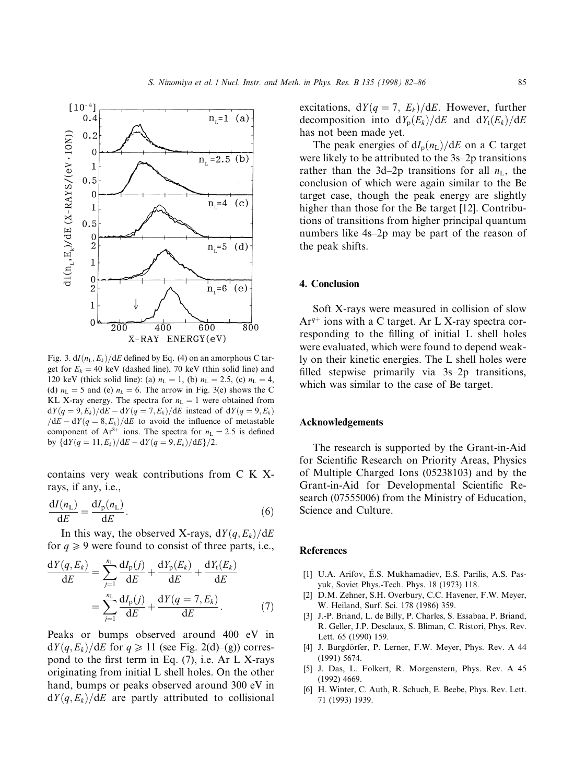

Fig. 3.  $dI(n_L, E_k)/dE$  defined by Eq. (4) on an amorphous C target for  $E_k = 40$  keV (dashed line), 70 keV (thin solid line) and 120 keV (thick solid line): (a)  $n_L = 1$ , (b)  $n_L = 2.5$ , (c)  $n_L = 4$ , (d)  $n<sub>L</sub> = 5$  and (e)  $n<sub>L</sub> = 6$ . The arrow in Fig. 3(e) shows the C KL X-ray energy. The spectra for  $n<sub>L</sub> = 1$  were obtained from  $dY(q = 9, E_k)/dE - dY(q = 7, E_k)/dE$  instead of  $dY(q = 9, E_k)$  $dE - dY(q = 8, E_k)/dE$  to avoid the influence of metastable component of  $Ar^{8+}$  ions. The spectra for  $n<sub>L</sub> = 2.5$  is defined by  $\{dY(q = 11, E_k)/dE - dY(q = 9, E_k)/dE\}/2.$ 

contains very weak contributions from C K Xrays, if any, i.e.,

$$
\frac{\mathrm{d}I(n_{\mathrm{L}})}{\mathrm{d}E} = \frac{\mathrm{d}I_{\mathrm{p}}(n_{\mathrm{L}})}{\mathrm{d}E}.\tag{6}
$$

In this way, the observed X-rays,  $dY(q, E_k)/dE$ for  $q \geq 9$  were found to consist of three parts, i.e.,

$$
\frac{dY(q, E_k)}{dE} = \sum_{j=1}^{n_L} \frac{dI_p(j)}{dE} + \frac{dY_p(E_k)}{dE} + \frac{dY_t(E_k)}{dE}
$$

$$
= \sum_{j=1}^{n_L} \frac{dI_p(j)}{dE} + \frac{dY(q = 7, E_k)}{dE}.
$$
(7)

Peaks or bumps observed around 400 eV in  $dY(q, E_k)/dE$  for  $q \ge 11$  (see Fig. 2(d)–(g)) correspond to the first term in Eq.  $(7)$ , i.e. Ar L X-rays originating from initial L shell holes. On the other hand, bumps or peaks observed around 300 eV in  $dY(q, E_k)/dE$  are partly attributed to collisional excitations,  $dY(q = 7, E_k)/dE$ . However, further decomposition into  $dY_p(E_k)/dE$  and  $dY_t(E_k)/dE$ has not been made yet.

The peak energies of  $dI_{p}(n_{\text{L}})/dE$  on a C target were likely to be attributed to the  $3s-2p$  transitions rather than the 3d-2p transitions for all  $n<sub>L</sub>$ , the conclusion of which were again similar to the Be target case, though the peak energy are slightly higher than those for the Be target [12]. Contributions of transitions from higher principal quantum numbers like 4s-2p may be part of the reason of the peak shifts.

#### 4. Conclusion

Soft X-rays were measured in collision of slow  $Ar^{q+}$  ions with a C target. Ar L X-ray spectra corresponding to the filling of initial L shell holes were evaluated, which were found to depend weakly on their kinetic energies. The L shell holes were filled stepwise primarily via  $3s-2p$  transitions, which was similar to the case of Be target.

## Acknowledgements

The research is supported by the Grant-in-Aid for Scientific Research on Priority Areas, Physics of Multiple Charged Ions (05238103) and by the Grant-in-Aid for Developmental Scientific Research (07555006) from the Ministry of Education, Science and Culture.

## **References**

- [1] U.A. Arifov, E.S. Mukhamadiev, E.S. Parilis, A.S. Pasyuk, Soviet Phys.-Tech. Phys. 18 (1973) 118.
- [2] D.M. Zehner, S.H. Overbury, C.C. Havener, F.W. Meyer, W. Heiland, Surf. Sci. 178 (1986) 359.
- [3] J.-P. Briand, L. de Billy, P. Charles, S. Essabaa, P. Briand, R. Geller, J.P. Desclaux, S. Bliman, C. Ristori, Phys. Rev. Lett. 65 (1990) 159.
- [4] J. Burgdörfer, P. Lerner, F.W. Meyer, Phys. Rev. A 44 (1991) 5674.
- [5] J. Das, L. Folkert, R. Morgenstern, Phys. Rev. A 45 (1992) 4669.
- [6] H. Winter, C. Auth, R. Schuch, E. Beebe, Phys. Rev. Lett. 71 (1993) 1939.